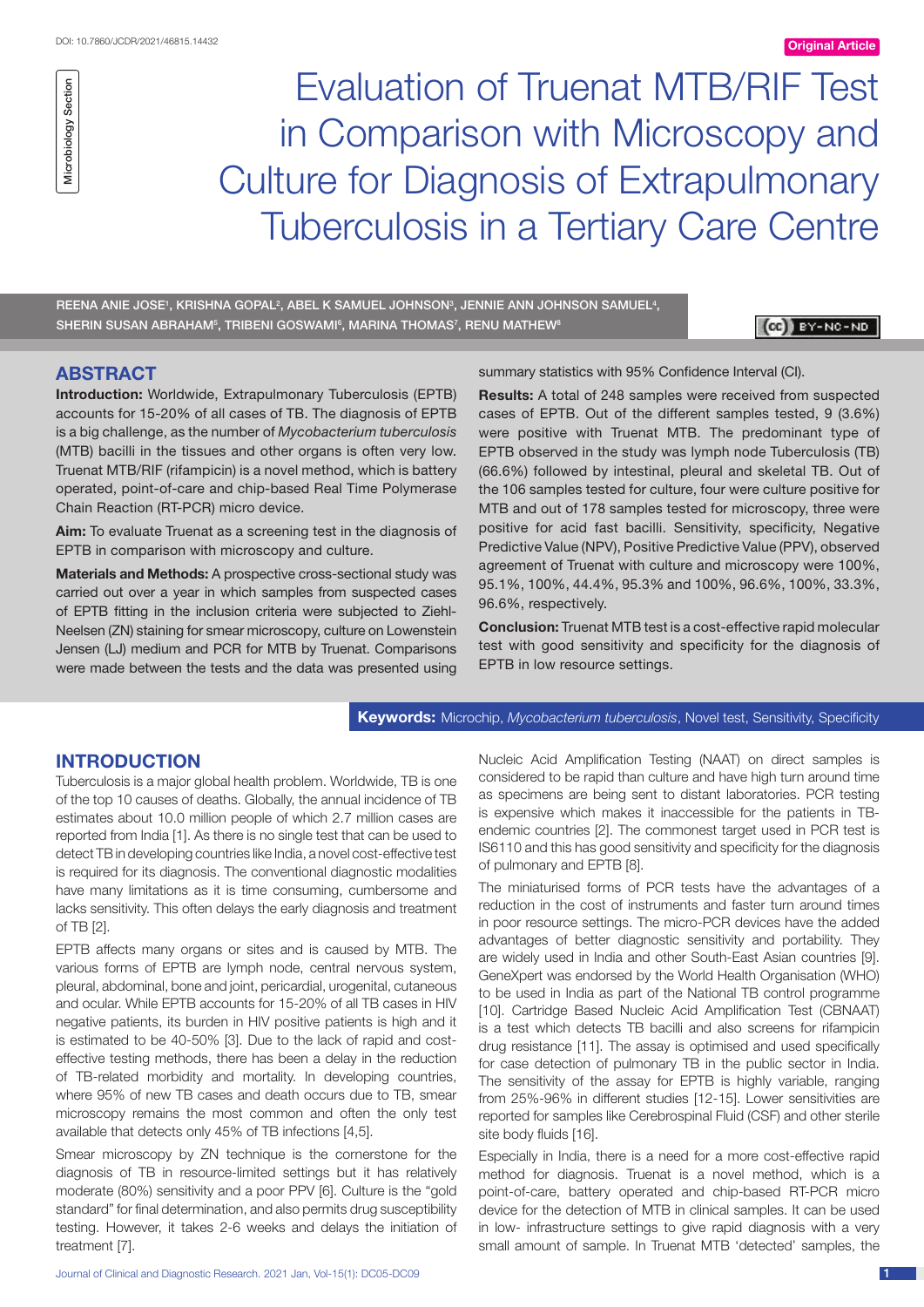

Evaluation of Truenat MTB/RIF Test in Comparison with Microscopy and Culture for Diagnosis of Extrapulmonary Tuberculosis in a Tertiary Care Centre

REENA ANIE JOSE', KRISHNA GOPAL<sup>2</sup>, ABEL K SAMUEL JOHNSON<sup>3</sup>, JENNIE ANN JOHNSON SAMUEL<sup>4</sup>, SHERIN SUSAN ABRAHAM§, TRIBENI GOSWAMI§, MARINA THOMAS $^7$ , RENU MATHEW®

**CB** BY-NC-ND

## **ABSTRACT**

**Introduction:** Worldwide, Extrapulmonary Tuberculosis (EPTB) accounts for 15-20% of all cases of TB. The diagnosis of EPTB is a big challenge, as the number of *Mycobacterium tuberculosis* (MTB) bacilli in the tissues and other organs is often very low. Truenat MTB/RIF (rifampicin) is a novel method, which is battery operated, point-of-care and chip-based Real Time Polymerase Chain Reaction (RT-PCR) micro device.

**Aim:** To evaluate Truenat as a screening test in the diagnosis of EPTB in comparison with microscopy and culture.

**Materials and Methods:** A prospective cross-sectional study was carried out over a year in which samples from suspected cases of EPTB fitting in the inclusion criteria were subjected to Ziehl-Neelsen (ZN) staining for smear microscopy, culture on Lowenstein Jensen (LJ) medium and PCR for MTB by Truenat. Comparisons were made between the tests and the data was presented using summary statistics with 95% Confidence Interval (CI).

**Results:** A total of 248 samples were received from suspected cases of EPTB. Out of the different samples tested, 9 (3.6%) were positive with Truenat MTB. The predominant type of EPTB observed in the study was lymph node Tuberculosis (TB) (66.6%) followed by intestinal, pleural and skeletal TB. Out of the 106 samples tested for culture, four were culture positive for MTB and out of 178 samples tested for microscopy, three were positive for acid fast bacilli. Sensitivity, specificity, Negative Predictive Value (NPV), Positive Predictive Value (PPV), observed agreement of Truenat with culture and microscopy were 100%, 95.1%, 100%, 44.4%, 95.3% and 100%, 96.6%, 100%, 33.3%, 96.6%, respectively.

**Conclusion:** Truenat MTB test is a cost-effective rapid molecular test with good sensitivity and specificity for the diagnosis of EPTB in low resource settings.

**Keywords:** Microchip, *Mycobacterium tuberculosis*, Novel test, Sensitivity, Specificity

## **Introduction**

Tuberculosis is a major global health problem. Worldwide, TB is one of the top 10 causes of deaths. Globally, the annual incidence of TB estimates about 10.0 million people of which 2.7 million cases are reported from India [1]. As there is no single test that can be used to detect TB in developing countries like India, a novel cost-effective test is required for its diagnosis. The conventional diagnostic modalities have many limitations as it is time consuming, cumbersome and lacks sensitivity. This often delays the early diagnosis and treatment of TB [2].

EPTB affects many organs or sites and is caused by MTB. The various forms of EPTB are lymph node, central nervous system, pleural, abdominal, bone and joint, pericardial, urogenital, cutaneous and ocular. While EPTB accounts for 15-20% of all TB cases in HIV negative patients, its burden in HIV positive patients is high and it is estimated to be 40-50% [3]. Due to the lack of rapid and costeffective testing methods, there has been a delay in the reduction of TB-related morbidity and mortality. In developing countries, where 95% of new TB cases and death occurs due to TB, smear microscopy remains the most common and often the only test available that detects only 45% of TB infections [4,5].

Smear microscopy by ZN technique is the cornerstone for the diagnosis of TB in resource-limited settings but it has relatively moderate (80%) sensitivity and a poor PPV [6]. Culture is the "gold standard" for final determination, and also permits drug susceptibility testing. However, it takes 2-6 weeks and delays the initiation of treatment [7].

Nucleic Acid Amplification Testing (NAAT) on direct samples is considered to be rapid than culture and have high turn around time as specimens are being sent to distant laboratories. PCR testing is expensive which makes it inaccessible for the patients in TBendemic countries [2]. The commonest target used in PCR test is IS6110 and this has good sensitivity and specificity for the diagnosis of pulmonary and EPTB [8].

The miniaturised forms of PCR tests have the advantages of a reduction in the cost of instruments and faster turn around times in poor resource settings. The micro-PCR devices have the added advantages of better diagnostic sensitivity and portability. They are widely used in India and other South-East Asian countries [9]. GeneXpert was endorsed by the World Health Organisation (WHO) to be used in India as part of the National TB control programme [10]. Cartridge Based Nucleic Acid Amplification Test (CBNAAT) is a test which detects TB bacilli and also screens for rifampicin drug resistance [11]. The assay is optimised and used specifically for case detection of pulmonary TB in the public sector in India. The sensitivity of the assay for EPTB is highly variable, ranging from 25%-96% in different studies [12-15]. Lower sensitivities are reported for samples like Cerebrospinal Fluid (CSF) and other sterile site body fluids [16].

Especially in India, there is a need for a more cost-effective rapid method for diagnosis. Truenat is a novel method, which is a point-of-care, battery operated and chip-based RT-PCR micro device for the detection of MTB in clinical samples. It can be used in low- infrastructure settings to give rapid diagnosis with a very small amount of sample. In Truenat MTB 'detected' samples, the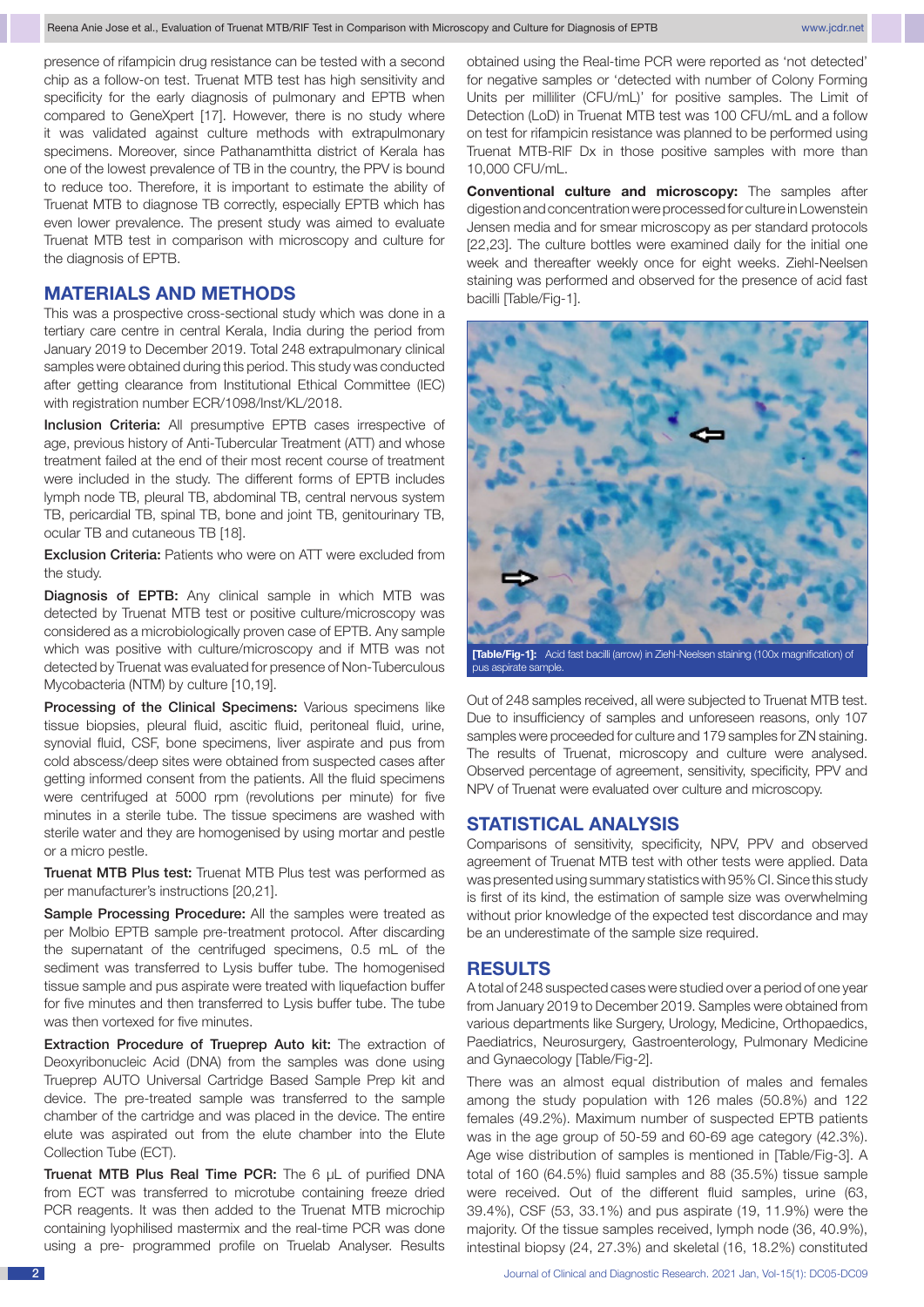presence of rifampicin drug resistance can be tested with a second chip as a follow-on test. Truenat MTB test has high sensitivity and specificity for the early diagnosis of pulmonary and EPTB when compared to GeneXpert [17]. However, there is no study where it was validated against culture methods with extrapulmonary specimens. Moreover, since Pathanamthitta district of Kerala has one of the lowest prevalence of TB in the country, the PPV is bound to reduce too. Therefore, it is important to estimate the ability of Truenat MTB to diagnose TB correctly, especially EPTB which has even lower prevalence. The present study was aimed to evaluate Truenat MTB test in comparison with microscopy and culture for the diagnosis of EPTB.

# **MATERIALS AND METHODS**

This was a prospective cross-sectional study which was done in a tertiary care centre in central Kerala, India during the period from January 2019 to December 2019. Total 248 extrapulmonary clinical samples were obtained during this period. This study was conducted after getting clearance from Institutional Ethical Committee (IEC) with registration number ECR/1098/Inst/KL/2018.

Inclusion Criteria: All presumptive EPTB cases irrespective of age, previous history of Anti-Tubercular Treatment (ATT) and whose treatment failed at the end of their most recent course of treatment were included in the study. The different forms of EPTB includes lymph node TB, pleural TB, abdominal TB, central nervous system TB, pericardial TB, spinal TB, bone and joint TB, genitourinary TB, ocular TB and cutaneous TB [18].

Exclusion Criteria: Patients who were on ATT were excluded from the study.

Diagnosis of EPTB: Any clinical sample in which MTB was detected by Truenat MTB test or positive culture/microscopy was considered as a microbiologically proven case of EPTB. Any sample which was positive with culture/microscopy and if MTB was not detected by Truenat was evaluated for presence of Non-Tuberculous Mycobacteria (NTM) by culture [10,19].

Processing of the Clinical Specimens: Various specimens like tissue biopsies, pleural fluid, ascitic fluid, peritoneal fluid, urine, synovial fluid, CSF, bone specimens, liver aspirate and pus from cold abscess/deep sites were obtained from suspected cases after getting informed consent from the patients. All the fluid specimens were centrifuged at 5000 rpm (revolutions per minute) for five minutes in a sterile tube. The tissue specimens are washed with sterile water and they are homogenised by using mortar and pestle or a micro pestle.

Truenat MTB Plus test: Truenat MTB Plus test was performed as per manufacturer's instructions [20,21].

Sample Processing Procedure: All the samples were treated as per Molbio EPTB sample pre-treatment protocol. After discarding the supernatant of the centrifuged specimens, 0.5 mL of the sediment was transferred to Lysis buffer tube. The homogenised tissue sample and pus aspirate were treated with liquefaction buffer for five minutes and then transferred to Lysis buffer tube. The tube was then vortexed for five minutes.

Extraction Procedure of Trueprep Auto kit: The extraction of Deoxyribonucleic Acid (DNA) from the samples was done using Trueprep AUTO Universal Cartridge Based Sample Prep kit and device. The pre-treated sample was transferred to the sample chamber of the cartridge and was placed in the device. The entire elute was aspirated out from the elute chamber into the Elute Collection Tube (ECT).

Truenat MTB Plus Real Time PCR: The 6 µL of purified DNA from ECT was transferred to microtube containing freeze dried PCR reagents. It was then added to the Truenat MTB microchip containing lyophilised mastermix and the real-time PCR was done using a pre- programmed profile on Truelab Analyser. Results obtained using the Real-time PCR were reported as 'not detected' for negative samples or 'detected with number of Colony Forming Units per milliliter (CFU/mL)' for positive samples. The Limit of Detection (LoD) in Truenat MTB test was 100 CFU/mL and a follow on test for rifampicin resistance was planned to be performed using Truenat MTB-RIF Dx in those positive samples with more than 10,000 CFU/mL.

**Conventional culture and microscopy:** The samples after digestion and concentration were processed for culture in Lowenstein Jensen media and for smear microscopy as per standard protocols [22,23]. The culture bottles were examined daily for the initial one week and thereafter weekly once for eight weeks. Ziehl-Neelsen staining was performed and observed for the presence of acid fast bacilli [Table/Fig-1].



pus aspirate sample.

Out of 248 samples received, all were subjected to Truenat MTB test. Due to insufficiency of samples and unforeseen reasons, only 107 samples were proceeded for culture and 179 samples for ZN staining. The results of Truenat, microscopy and culture were analysed. Observed percentage of agreement, sensitivity, specificity, PPV and NPV of Truenat were evaluated over culture and microscopy.

# **STATISTICAL ANALYSIS**

Comparisons of sensitivity, specificity, NPV, PPV and observed agreement of Truenat MTB test with other tests were applied. Data was presented using summary statistics with 95% CI. Since this study is first of its kind, the estimation of sample size was overwhelming without prior knowledge of the expected test discordance and may be an underestimate of the sample size required.

# **RESULTS**

A total of 248 suspected cases were studied over a period of one year from January 2019 to December 2019. Samples were obtained from various departments like Surgery, Urology, Medicine, Orthopaedics, Paediatrics, Neurosurgery, Gastroenterology, Pulmonary Medicine and Gynaecology [Table/Fig-2].

There was an almost equal distribution of males and females among the study population with 126 males (50.8%) and 122 females (49.2%). Maximum number of suspected EPTB patients was in the age group of 50-59 and 60-69 age category (42.3%). Age wise distribution of samples is mentioned in [Table/Fig-3]. A total of 160 (64.5%) fluid samples and 88 (35.5%) tissue sample were received. Out of the different fluid samples, urine (63, 39.4%), CSF (53, 33.1%) and pus aspirate (19, 11.9%) were the majority. Of the tissue samples received, lymph node (36, 40.9%), intestinal biopsy (24, 27.3%) and skeletal (16, 18.2%) constituted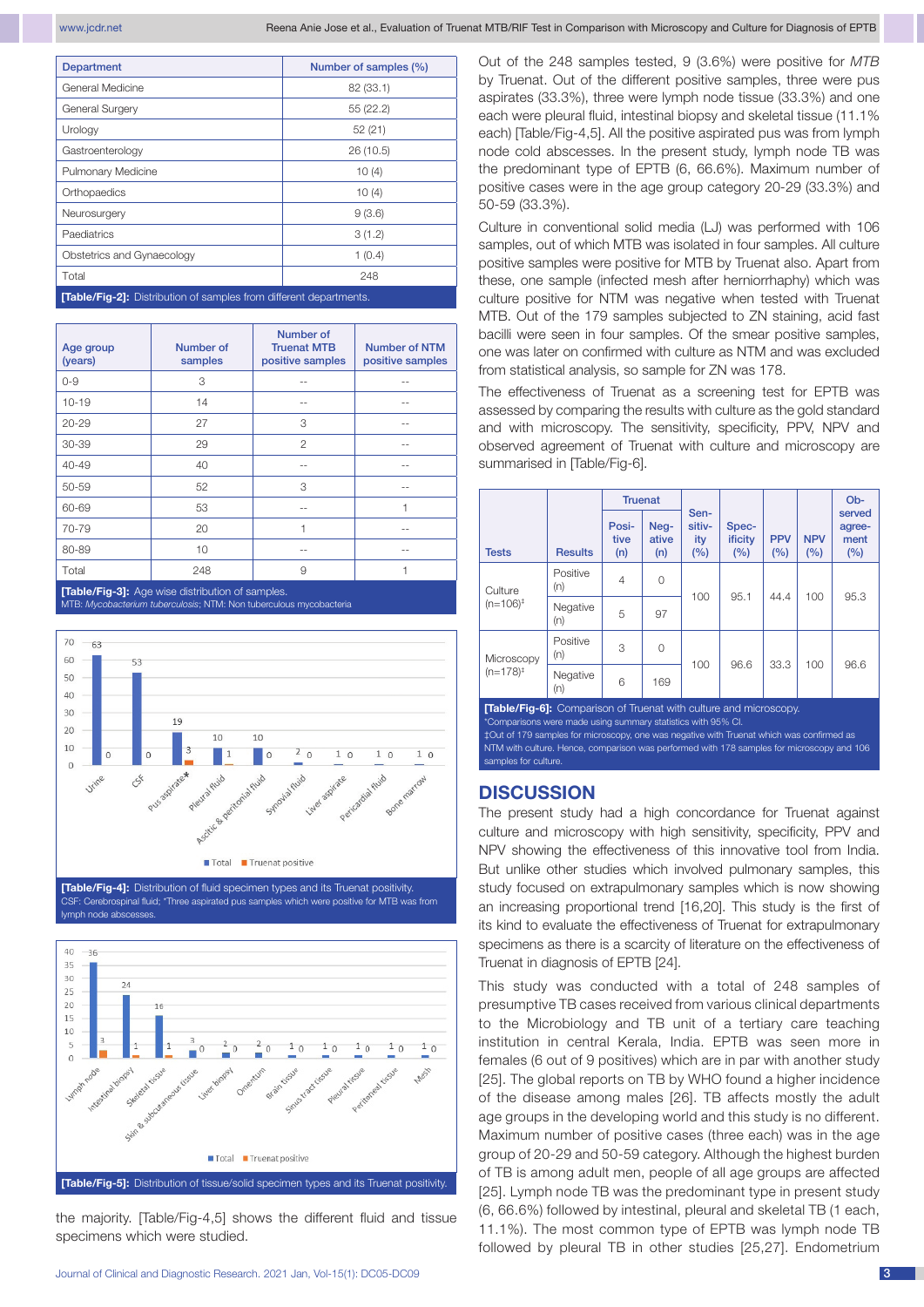www.jcdr.net Reena Anie Jose et al., Evaluation of Truenat MTB/RIF Test in Comparison with Microscopy and Culture for Diagnosis of EPTB

| <b>Department</b>                                                         | Number of samples (%) |  |  |  |  |
|---------------------------------------------------------------------------|-----------------------|--|--|--|--|
| General Medicine                                                          | 82 (33.1)             |  |  |  |  |
| General Surgery                                                           | 55 (22.2)             |  |  |  |  |
| Urology                                                                   | 52(21)                |  |  |  |  |
| Gastroenterology                                                          | 26 (10.5)             |  |  |  |  |
| Pulmonary Medicine                                                        | 10(4)                 |  |  |  |  |
| Orthopaedics                                                              | 10(4)                 |  |  |  |  |
| Neurosurgery                                                              | 9(3.6)                |  |  |  |  |
| Paediatrics                                                               | 3(1.2)                |  |  |  |  |
| Obstetrics and Gynaecology                                                | 1(0.4)                |  |  |  |  |
| Total                                                                     | 248                   |  |  |  |  |
| <b>[Table/Fig-2]:</b> Distribution of samples from different departments. |                       |  |  |  |  |

Age group (years) Number of samples Number of Truenat MTB positive samples Number of NTM positive samples 0-9 3 -- -- 10-19 14 -- -- 20-29 27 3 -- 30-39 29 2 -- 40-49 40 -- -- 50-59 52 3 -- 60-69 53 -- 1 70-79 20 1 -- 80-89 10 -- -- Total 248 9 1 **[Table/Fig-3]:** Age wise distribution of samples.

MTB: *Mycobacterium tuberculosis*; NTM: Non tuberculous mycobacteria







the majority. [Table/Fig-4,5] shows the different fluid and tissue specimens which were studied.

Out of the 248 samples tested, 9 (3.6%) were positive for *MTB* by Truenat. Out of the different positive samples, three were pus aspirates (33.3%), three were lymph node tissue (33.3%) and one each were pleural fluid, intestinal biopsy and skeletal tissue (11.1% each) [Table/Fig-4,5]. All the positive aspirated pus was from lymph node cold abscesses. In the present study, lymph node TB was the predominant type of EPTB (6, 66.6%). Maximum number of positive cases were in the age group category 20-29 (33.3%) and 50-59 (33.3%).

Culture in conventional solid media (LJ) was performed with 106 samples, out of which MTB was isolated in four samples. All culture positive samples were positive for MTB by Truenat also. Apart from these, one sample (infected mesh after herniorrhaphy) which was culture positive for NTM was negative when tested with Truenat MTB. Out of the 179 samples subjected to ZN staining, acid fast bacilli were seen in four samples. Of the smear positive samples, one was later on confirmed with culture as NTM and was excluded from statistical analysis, so sample for ZN was 178.

The effectiveness of Truenat as a screening test for EPTB was assessed by comparing the results with culture as the gold standard and with microscopy. The sensitivity, specificity, PPV, NPV and observed agreement of Truenat with culture and microscopy are summarised in [Table/Fig-6].

|                           |                 | <b>Truenat</b>       |                      |                              |                         |                   |                   | Ob-                             |
|---------------------------|-----------------|----------------------|----------------------|------------------------------|-------------------------|-------------------|-------------------|---------------------------------|
| <b>Tests</b>              | <b>Results</b>  | Posi-<br>tive<br>(n) | Neg-<br>ative<br>(n) | Sen-<br>sitiv-<br>ity<br>(%) | Spec-<br>ificity<br>(%) | <b>PPV</b><br>(%) | <b>NPV</b><br>(%) | served<br>agree-<br>ment<br>(%) |
| Culture<br>$(n=106)^+$    | Positive<br>(n) | $\overline{4}$       | 0                    | 100                          | 95.1                    | 44.4              | 100               | 95.3                            |
|                           | Negative<br>(n) | 5                    | 97                   |                              |                         |                   |                   |                                 |
| Microscopy<br>$(n=178)^+$ | Positive<br>(n) | 3                    | 0                    | 100                          | 96.6                    | 33.3              | 100               | 96.6                            |
|                           | Negative<br>(n) | 6                    | 169                  |                              |                         |                   |                   |                                 |

**[Table/Fig-6]:** Comparison of Truenat with culture and microscopy. Comparisons were made using summary statistics with 95% CI. ‡Out of 179 samples for microscopy, one was negative with Truenat which was confirmed as NTM with culture. Hence, comparison was performed with 178 samples for microscopy and 106 samples for culture.

# **DISCUSSION**

The present study had a high concordance for Truenat against culture and microscopy with high sensitivity, specificity, PPV and NPV showing the effectiveness of this innovative tool from India. But unlike other studies which involved pulmonary samples, this study focused on extrapulmonary samples which is now showing an increasing proportional trend [16,20]. This study is the first of its kind to evaluate the effectiveness of Truenat for extrapulmonary specimens as there is a scarcity of literature on the effectiveness of Truenat in diagnosis of EPTB [24].

This study was conducted with a total of 248 samples of presumptive TB cases received from various clinical departments to the Microbiology and TB unit of a tertiary care teaching institution in central Kerala, India. EPTB was seen more in females (6 out of 9 positives) which are in par with another study [25]. The global reports on TB by WHO found a higher incidence of the disease among males [26]. TB affects mostly the adult age groups in the developing world and this study is no different. Maximum number of positive cases (three each) was in the age group of 20-29 and 50-59 category. Although the highest burden of TB is among adult men, people of all age groups are affected [25]. Lymph node TB was the predominant type in present study (6, 66.6%) followed by intestinal, pleural and skeletal TB (1 each, 11.1%). The most common type of EPTB was lymph node TB followed by pleural TB in other studies [25,27]. Endometrium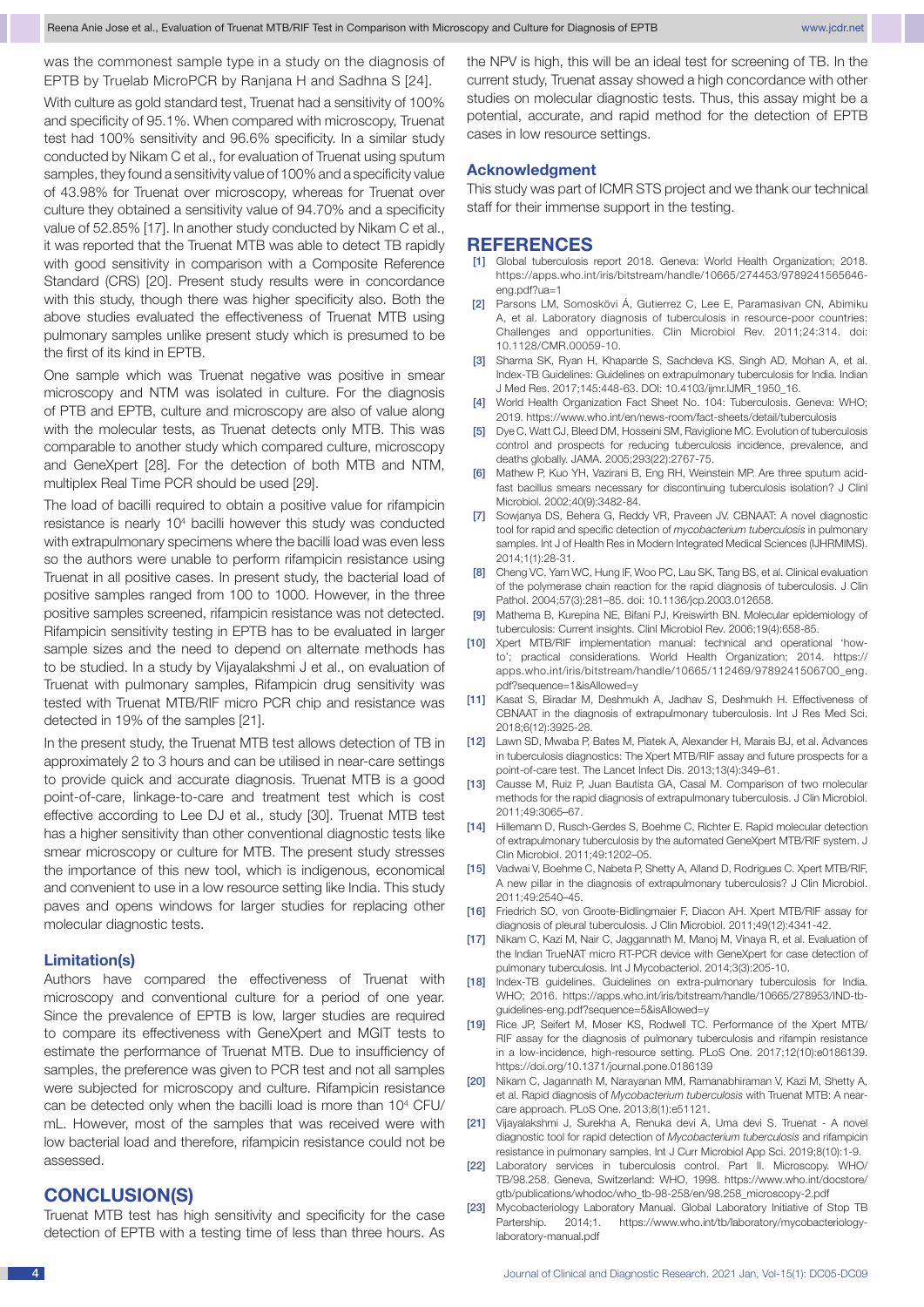was the commonest sample type in a study on the diagnosis of EPTB by Truelab MicroPCR by Ranjana H and Sadhna S [24].

With culture as gold standard test, Truenat had a sensitivity of 100% and specificity of 95.1%. When compared with microscopy, Truenat test had 100% sensitivity and 96.6% specificity. In a similar study conducted by Nikam C et al., for evaluation of Truenat using sputum samples, they found a sensitivity value of 100% and a specificity value of 43.98% for Truenat over microscopy, whereas for Truenat over culture they obtained a sensitivity value of 94.70% and a specificity value of 52.85% [17]. In another study conducted by Nikam C et al., it was reported that the Truenat MTB was able to detect TB rapidly with good sensitivity in comparison with a Composite Reference Standard (CRS) [20]. Present study results were in concordance with this study, though there was higher specificity also. Both the above studies evaluated the effectiveness of Truenat MTB using pulmonary samples unlike present study which is presumed to be the first of its kind in EPTB.

One sample which was Truenat negative was positive in smear microscopy and NTM was isolated in culture. For the diagnosis of PTB and EPTB, culture and microscopy are also of value along with the molecular tests, as Truenat detects only MTB. This was comparable to another study which compared culture, microscopy and GeneXpert [28]. For the detection of both MTB and NTM, multiplex Real Time PCR should be used [29].

The load of bacilli required to obtain a positive value for rifampicin resistance is nearly 10<sup>4</sup> bacilli however this study was conducted with extrapulmonary specimens where the bacilli load was even less so the authors were unable to perform rifampicin resistance using Truenat in all positive cases. In present study, the bacterial load of positive samples ranged from 100 to 1000. However, in the three positive samples screened, rifampicin resistance was not detected. Rifampicin sensitivity testing in EPTB has to be evaluated in larger sample sizes and the need to depend on alternate methods has to be studied. In a study by Vijayalakshmi J et al., on evaluation of Truenat with pulmonary samples, Rifampicin drug sensitivity was tested with Truenat MTB/RIF micro PCR chip and resistance was detected in 19% of the samples [21].

In the present study, the Truenat MTB test allows detection of TB in approximately 2 to 3 hours and can be utilised in near-care settings to provide quick and accurate diagnosis. Truenat MTB is a good point-of-care, linkage-to-care and treatment test which is cost effective according to Lee DJ et al., study [30]. Truenat MTB test has a higher sensitivity than other conventional diagnostic tests like smear microscopy or culture for MTB. The present study stresses the importance of this new tool, which is indigenous, economical and convenient to use in a low resource setting like India. This study paves and opens windows for larger studies for replacing other molecular diagnostic tests.

### **Limitation(s)**

Authors have compared the effectiveness of Truenat with microscopy and conventional culture for a period of one year. Since the prevalence of EPTB is low, larger studies are required to compare its effectiveness with GeneXpert and MGIT tests to estimate the performance of Truenat MTB. Due to insufficiency of samples, the preference was given to PCR test and not all samples were subjected for microscopy and culture. Rifampicin resistance can be detected only when the bacilli load is more than 10<sup>4</sup> CFU/ mL. However, most of the samples that was received were with low bacterial load and therefore, rifampicin resistance could not be assessed.

### **CONCLUSION(S)**

Truenat MTB test has high sensitivity and specificity for the case detection of EPTB with a testing time of less than three hours. As the NPV is high, this will be an ideal test for screening of TB. In the current study, Truenat assay showed a high concordance with other studies on molecular diagnostic tests. Thus, this assay might be a potential, accurate, and rapid method for the detection of EPTB cases in low resource settings.

### **Acknowledgment**

This study was part of ICMR STS project and we thank our technical staff for their immense support in the testing.

### **References**

- [1] Global tuberculosis report 2018. Geneva: World Health Organization; 2018. https://apps.who.int/iris/bitstream/handle/10665/274453/9789241565646 eng.pdf?ua=1
- [2] Parsons LM, Somoskövi Á, Gutierrez C, Lee E, Paramasivan CN, Abimiku A, et al. Laboratory diagnosis of tuberculosis in resource-poor countries: Challenges and opportunities. Clin Microbiol Rev. 2011;24:314. doi: 10.1128/CMR.00059-10.
- [3] Sharma SK, Ryan H, Khaparde S, Sachdeva KS, Singh AD, Mohan A, et al. Index-TB Guidelines: Guidelines on extrapulmonary tuberculosis for India. Indian J Med Res. 2017;145:448-63. DOI: 10.4103/ijmr.IJMR\_1950\_16.
- [4] World Health Organization Fact Sheet No. 104: Tuberculosis. Geneva: WHO; 2019. https://www.who.int/en/news-room/fact-sheets/detail/tuberculosis
- [5] Dye C, Watt CJ, Bleed DM, Hosseini SM, Raviglione MC. Evolution of tuberculosis control and prospects for reducing tuberculosis incidence, prevalence, and deaths globally. JAMA. 2005;293(22):2767-75.
- [6] Mathew P, Kuo YH, Vazirani B, Eng RH, Weinstein MP. Are three sputum acidfast bacillus smears necessary for discontinuing tuberculosis isolation? J Clinl Microbiol. 2002;40(9):3482-84.
- [7] Sowjanya DS, Behera G, Reddy VR, Praveen JV. CBNAAT: A novel diagnostic tool for rapid and specific detection of *mycobacterium tuberculosis* in pulmonary samples. Int J of Health Res in Modern Integrated Medical Sciences (IJHRMIMS). 2014;1(1):28-31.
- [8] Cheng VC, Yam WC, Hung IF, Woo PC, Lau SK, Tang BS, et al. Clinical evaluation of the polymerase chain reaction for the rapid diagnosis of tuberculosis. J Clin Pathol. 2004;57(3):281–85. doi: 10.1136/jcp.2003.012658.
- [9] Mathema B, Kurepina NE, Bifani PJ, Kreiswirth BN. Molecular epidemiology of tuberculosis: Current insights. Clinl Microbiol Rev. 2006;19(4):658-85.
- [10] Xpert MTB/RIF implementation manual: technical and operational 'howto'; practical considerations. World Health Organization; 2014. https:// apps.who.int/iris/bitstream/handle/10665/112469/9789241506700\_eng. pdf?sequence=1&isAllowed=y
- [11] Kasat S, Biradar M, Deshmukh A, Jadhav S, Deshmukh H. Effectiveness of CBNAAT in the diagnosis of extrapulmonary tuberculosis. Int J Res Med Sci. 2018;6(12):3925-28.
- [12] Lawn SD, Mwaba P, Bates M, Piatek A, Alexander H, Marais BJ, et al. Advances in tuberculosis diagnostics: The Xpert MTB/RIF assay and future prospects for a point-of-care test. The Lancet Infect Dis. 2013;13(4):349–61.
- [13] Causse M, Ruiz P, Juan Bautista GA, Casal M. Comparison of two molecular methods for the rapid diagnosis of extrapulmonary tuberculosis. J Clin Microbiol. 2011;49:3065–67.
- [14] Hillemann D, Rusch-Gerdes S, Boehme C, Richter E. Rapid molecular detection of extrapulmonary tuberculosis by the automated GeneXpert MTB/RIF system. J Clin Microbiol. 2011;49:1202–05.
- [15] Vadwai V, Boehme C, Nabeta P, Shetty A, Alland D, Rodrigues C. Xpert MTB/RIF, A new pillar in the diagnosis of extrapulmonary tuberculosis? J Clin Microbiol. 2011;49:2540–45.
- [16] Friedrich SO, von Groote-Bidlingmaier F, Diacon AH. Xpert MTB/RIF assay for diagnosis of pleural tuberculosis. J Clin Microbiol. 2011;49(12):4341-42.
- [17] Nikam C, Kazi M, Nair C, Jaggannath M, Manoj M, Vinaya R, et al. Evaluation of the Indian TrueNAT micro RT-PCR device with GeneXpert for case detection of pulmonary tuberculosis. Int J Mycobacteriol. 2014;3(3):205-10.
- [18] Index-TB quidelines. Guidelines on extra-pulmonary tuberculosis for India. WHO; 2016. https://apps.who.int/iris/bitstream/handle/10665/278953/IND-tbguidelines-eng.pdf?sequence=5&isAllowed=y
- [19] Rice JP, Seifert M, Moser KS, Rodwell TC. Performance of the Xpert MTB/ RIF assay for the diagnosis of pulmonary tuberculosis and rifampin resistance in a low-incidence, high-resource setting. PLoS One. 2017;12(10):e0186139. https://doi.org/10.1371/journal.pone.0186139
- [20] Nikam C, Jagannath M, Narayanan MM, Ramanabhiraman V, Kazi M, Shetty A, et al. Rapid diagnosis of *Mycobacterium tuberculosis* with Truenat MTB: A nearcare approach. PLoS One. 2013;8(1):e51121.
- [21] Vijayalakshmi J, Surekha A, Renuka devi A, Uma devi S. Truenat A novel diagnostic tool for rapid detection of *Mycobacterium tuberculosis* and rifampicin resistance in pulmonary samples. Int J Curr Microbiol App Sci. 2019;8(10):1-9.
- [22] Laboratory services in tuberculosis control. Part II. Microscopy. WHO/ TB/98.258. Geneva, Switzerland: WHO, 1998. https://www.who.int/docstore/ gtb/publications/whodoc/who\_tb-98-258/en/98.258\_microscopy-2.pdf
- [23] Mycobacteriology Laboratory Manual. Global Laboratory Initiative of Stop TB Partership. 2014;1. https://www.who.int/tb/laboratory/mycobacteriologylaboratory-manual.pdf